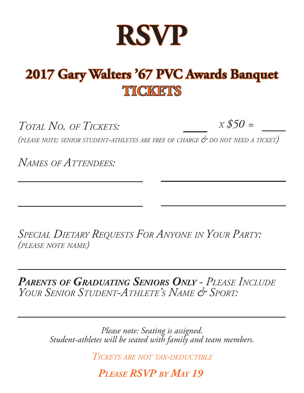

## 2017 Gary Walters '67 PVC Awards Banquet **TICKETS**

*TOTAL NO. OF TICKETS: X \$50 =*

*(PLEASE NOTE: SENIOR STUDENT-ATHLETES ARE FREE OF CHARGE & DO NOT NEED <sup>A</sup> TICKET)*

*NAMES OF ATTENDEES:*

*SPECIAL DIETARY REQUESTS FOR ANYONE IN YOUR PARTY: (PLEASE NOTE NAME)*

*PARENTS OF GRADUATING SENIORS ONLY - PLEASE INCLUDE YOUR SENIOR STUDENT-ATHLETE'S NAME & SPORT:*

> *Please note: Seating is assigned. Student-athletes will be seated with family and team members.*

> > *TICKETS ARE NOT TAX-DEDUCTIBLE*

*PLEASE RSVP BY MAY 19*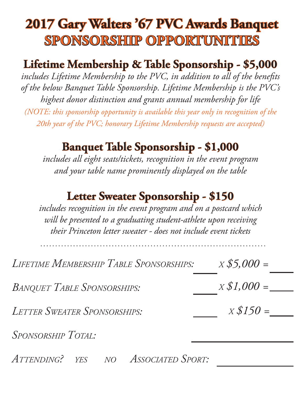## **2017 Gary Walters '67 PVC Awards Banquet SPONSORSHIP OPPORTUNITIES**

### Lifetime Membership & Table Sponsorship - \$5,000

includes Lifetime Membership to the PVC, in addition to all of the benefits *of the below Banquet Table Sponsorship. Lifetime Membership is the PVC's highest donor distinction and grants annual membership for life (NOTE: this sponsorship opportunity is available this year only in recognition of the 20th year of the PVC; honorary Lifetime Membership requests are accepted)* 

#### **Banquet Table Sponsorship - \$1,000 anquet**

*includes all eight seats/tickets, recognition in the event program and your table name prominently displayed on the table*

#### **Letter Sweater Sponsorship - \$150**

*includes recognition in the event program and on a postcard which will be presented to a graduating student-athlete upon receiving their Princeton letter sweater - does not include event tickets*

*LIFETIME MEMBERSHIP TABLE SPONSORSHIPS: X \$5,000 =*

*BANQUET TABLE SPONSORSHIPS:* 

*LETTER SWEATER SPONSORSHIPS:*

*SPONSORSHIP TOTAL:* 

*ATTENDING? YES NO ASSOCIATED SPORT:*

*X \$1,000 =*

*X \$150 =*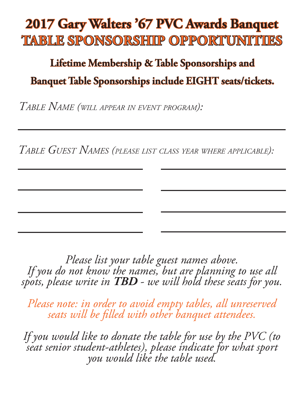## 2017 Gary Walters '67 PVC Awards Banquet **TABLE SPONSORSHIP OPPORTUNITIES ABLE**

### Lifetime Membership & Table Sponsorships and **Banquet Table Sponsorships include EIGHT seats/tickets. anquet**

*TABLE NAME (WILL APPEAR IN EVENT PROGRAM):*

*TABLE GUEST NAMES (PLEASE LIST CLASS YEAR WHERE APPLICABLE):*

*Please list your table guest names above. If you do not know the names, but are planning to use all spots, please write in TBD - we will hold these seats for you.* 

*Please note: in order to avoid empty tables, all unreserved seats will be fi lled with other banquet attendees.*

*If you would like to donate the table for use by the PVC (to seat senior student-athletes), please indicate for what sport you would like the table used.*